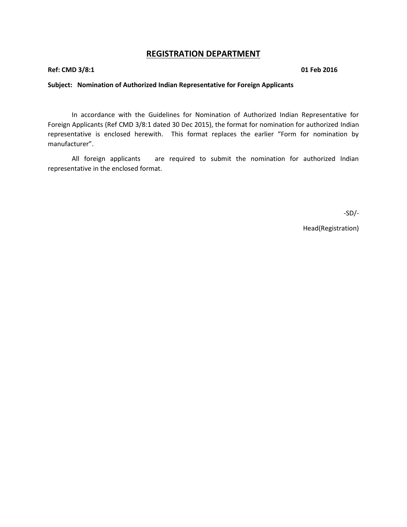## **REGISTRATION DEPARTMENT**

**Ref: CMD 3/8:1 01 Feb 2016**

#### **Subject: Nomination of Authorized Indian Representative for Foreign Applicants**

In accordance with the Guidelines for Nomination of Authorized Indian Representative for Foreign Applicants (Ref CMD 3/8:1 dated 30 Dec 2015), the format for nomination for authorized Indian representative is enclosed herewith. This format replaces the earlier "Form for nomination by manufacturer".

All foreign applicants are required to submit the nomination for authorized Indian representative in the enclosed format.

-SD/-

Head(Registration)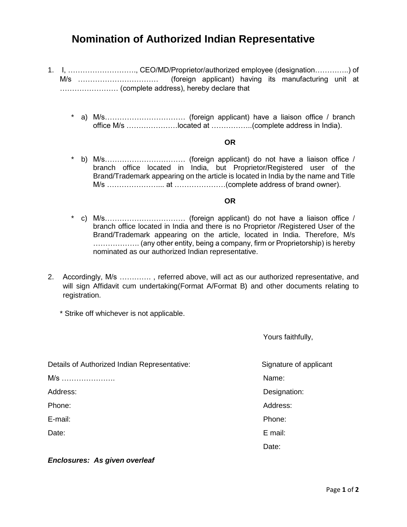# **Nomination of Authorized Indian Representative**

- 1. I, ………………………., CEO/MD/Proprietor/authorized employee (designation…………..) of M/s …………………………… (foreign applicant) having its manufacturing unit at …………………… (complete address), hereby declare that
	- \* a) M/s…………………………… (foreign applicant) have a liaison office / branch office M/s …………………located at ……………..(complete address in India).

#### **OR**

\* b) M/s…………………………… (foreign applicant) do not have a liaison office / branch office located in India, but Proprietor/Registered user of the Brand/Trademark appearing on the article is located in India by the name and Title M/s …………………... at …………………(complete address of brand owner).

#### **OR**

- \* c) M/s…………………………… (foreign applicant) do not have a liaison office / branch office located in India and there is no Proprietor /Registered User of the Brand/Trademark appearing on the article, located in India. Therefore, M/s ………………. (any other entity, being a company, firm or Proprietorship) is hereby nominated as our authorized Indian representative.
- 2. Accordingly, M/s …………. , referred above, will act as our authorized representative, and will sign Affidavit cum undertaking(Format A/Format B) and other documents relating to registration.
	- \* Strike off whichever is not applicable.

Yours faithfully,

Details of Authorized Indian Representative: Signature of applicant M/s …………………. Name: Address: Designation: Phone: Address: Analytic Phone: Address: Address: Address: Address: Address: Address: Address: Address: Address: Analytic Phone: Address: Address: Address: Address: Address: Address: Address: Address: Address: Address: Add E-mail: Phone: Date: Email: discussion of the contract of the contract of the contract of the Date:

*Enclosures: As given overleaf*